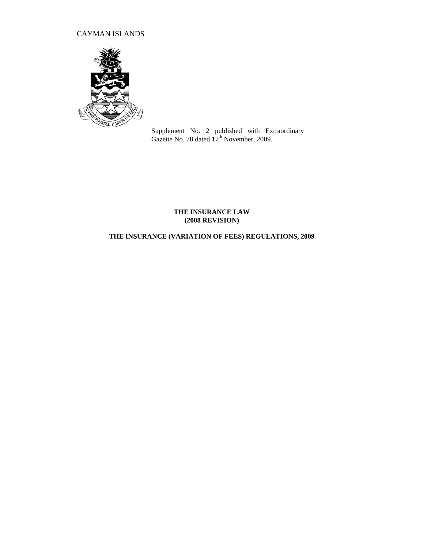# CAYMAN ISLANDS



Supplement No. 2 published with Extraordinary Gazette No. 78 dated  $17<sup>th</sup>$  November, 2009.

### **THE INSURANCE LAW (2008 REVISION)**

## **THE INSURANCE (VARIATION OF FEES) REGULATIONS, 2009**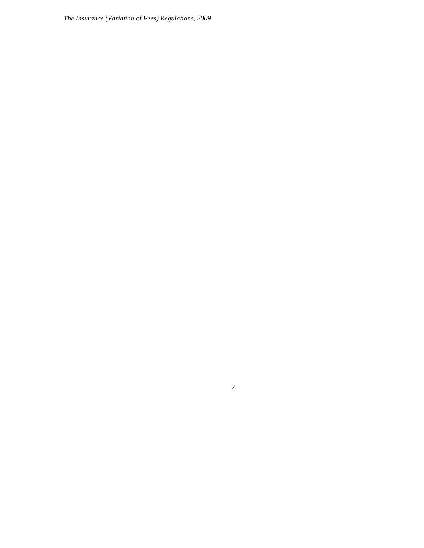*The Insurance (Variation of Fees) Regulations, 2009* 

2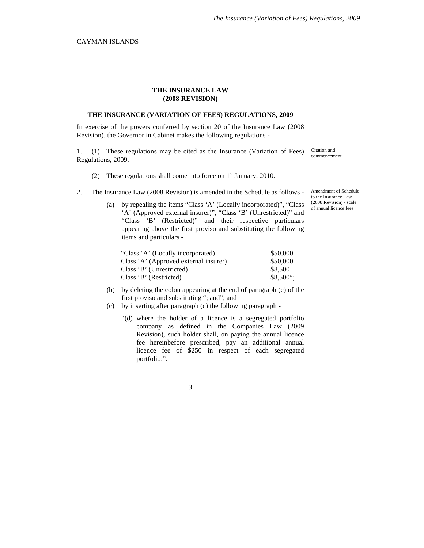#### CAYMAN ISLANDS

#### **THE INSURANCE LAW (2008 REVISION)**

### **THE INSURANCE (VARIATION OF FEES) REGULATIONS, 2009**

In exercise of the powers conferred by section 20 of the Insurance Law (2008 Revision), the Governor in Cabinet makes the following regulations -

1. (1) These regulations may be cited as the Insurance (Variation of Fees) Regulations, 2009.

Citation and commencement

to the Insurance Law (2008 Revision) - scale

- (2) These regulations shall come into force on  $1<sup>st</sup>$  January, 2010.
- 2. The Insurance Law (2008 Revision) is amended in the Schedule as follows Amendment of Schedule
	- (a) by repealing the items "Class 'A' (Locally incorporated)", "Class 'A' (Approved external insurer)", "Class 'B' (Unrestricted)" and "Class 'B' (Restricted)" and their respective particulars appearing above the first proviso and substituting the following items and particulars -

| "Class 'A' (Locally incorporated)     | \$50,000    |
|---------------------------------------|-------------|
| Class 'A' (Approved external insurer) | \$50,000    |
| Class 'B' (Unrestricted)              | \$8.500     |
| Class 'B' (Restricted)                | $$8.500$ ": |

- (b) by deleting the colon appearing at the end of paragraph (c) of the first proviso and substituting "; and"; and
- (c) by inserting after paragraph (c) the following paragraph
	- "(d) where the holder of a licence is a segregated portfolio company as defined in the Companies Law (2009 Revision), such holder shall, on paying the annual licence fee hereinbefore prescribed, pay an additional annual licence fee of \$250 in respect of each segregated portfolio:".

3